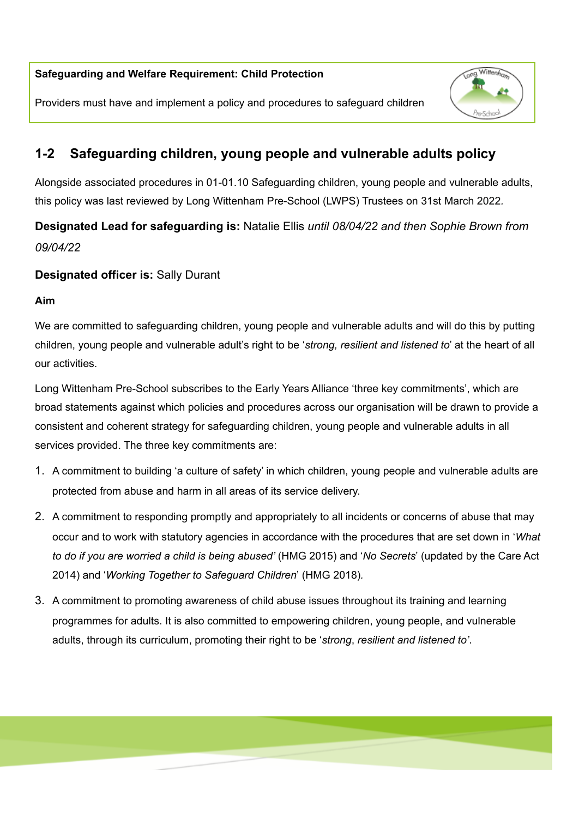### **Safeguarding and Welfare Requirement: Child Protection**

Providers must have and implement a policy and procedures to safeguard children



# **1-2 Safeguarding children, young people and vulnerable adults policy**

Alongside associated procedures in 01-01.10 Safeguarding children, young people and vulnerable adults, this policy was last reviewed by Long Wittenham Pre-School (LWPS) Trustees on 31st March 2022*.*

**Designated Lead for safeguarding is:** Natalie Ellis *until 08/04/22 and then Sophie Brown from 09/04/22*

# **Designated officer is:** Sally Durant

#### **Aim**

We are committed to safeguarding children, young people and vulnerable adults and will do this by putting children, young people and vulnerable adult's right to be '*strong, resilient and listened to*' at the heart of all our activities.

Long Wittenham Pre-School subscribes to the Early Years Alliance 'three key commitments', which are broad statements against which policies and procedures across our organisation will be drawn to provide a consistent and coherent strategy for safeguarding children, young people and vulnerable adults in all services provided. The three key commitments are:

- 1. A commitment to building 'a culture of safety' in which children, young people and vulnerable adults are protected from abuse and harm in all areas of its service delivery.
- 2. A commitment to responding promptly and appropriately to all incidents or concerns of abuse that may occur and to work with statutory agencies in accordance with the procedures that are set down in '*What to do if you are worried a child is being abused'* (HMG 2015) and '*No Secrets*' (updated by the Care Act 2014) and '*Working Together to Safeguard Children*' (HMG 2018)*.*
- 3. A commitment to promoting awareness of child abuse issues throughout its training and learning programmes for adults. It is also committed to empowering children, young people, and vulnerable adults, through its curriculum, promoting their right to be '*strong*, *resilient and listened to'*.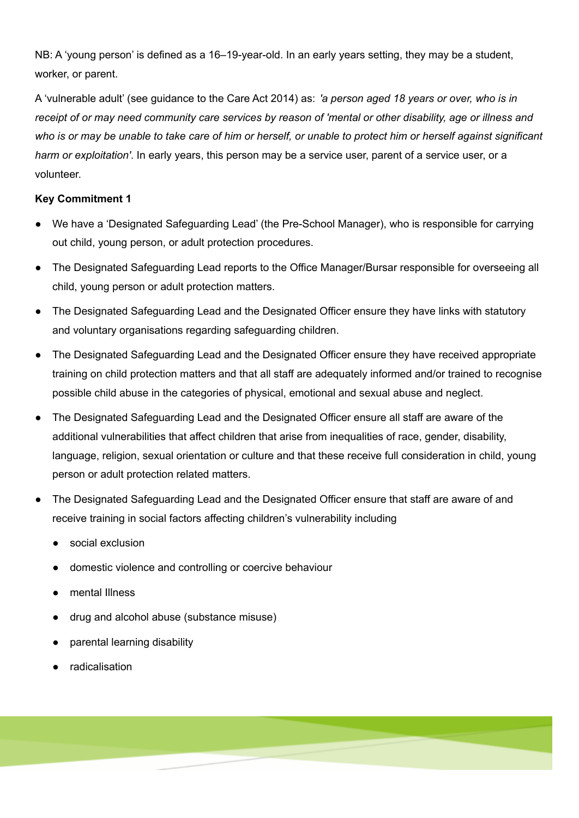NB: A 'young person' is defined as a 16–19-year-old. In an early years setting, they may be a student, worker, or parent.

A 'vulnerable adult' (see guidance to the Care Act 2014) as: *'a person aged 18 years or over, who is in* receipt of or may need community care services by reason of 'mental or other disability, age or illness and who is or may be unable to take care of him or herself, or unable to protect him or herself against significant *harm or exploitation'*. In early years, this person may be a service user, parent of a service user, or a volunteer.

### **Key Commitment 1**

- We have a 'Designated Safeguarding Lead' (the Pre-School Manager), who is responsible for carrying out child, young person, or adult protection procedures.
- **●** The Designated Safeguarding Lead reports to the Office Manager/Bursar responsible for overseeing all child, young person or adult protection matters.
- The Designated Safeguarding Lead and the Designated Officer ensure they have links with statutory and voluntary organisations regarding safeguarding children.
- The Designated Safeguarding Lead and the Designated Officer ensure they have received appropriate training on child protection matters and that all staff are adequately informed and/or trained to recognise possible child abuse in the categories of physical, emotional and sexual abuse and neglect.
- The Designated Safeguarding Lead and the Designated Officer ensure all staff are aware of the additional vulnerabilities that affect children that arise from inequalities of race, gender, disability, language, religion, sexual orientation or culture and that these receive full consideration in child, young person or adult protection related matters.
- The Designated Safeguarding Lead and the Designated Officer ensure that staff are aware of and receive training in social factors affecting children's vulnerability including
	- social exclusion
	- domestic violence and controlling or coercive behaviour
	- mental Illness
	- drug and alcohol abuse (substance misuse)
	- parental learning disability
	- radicalisation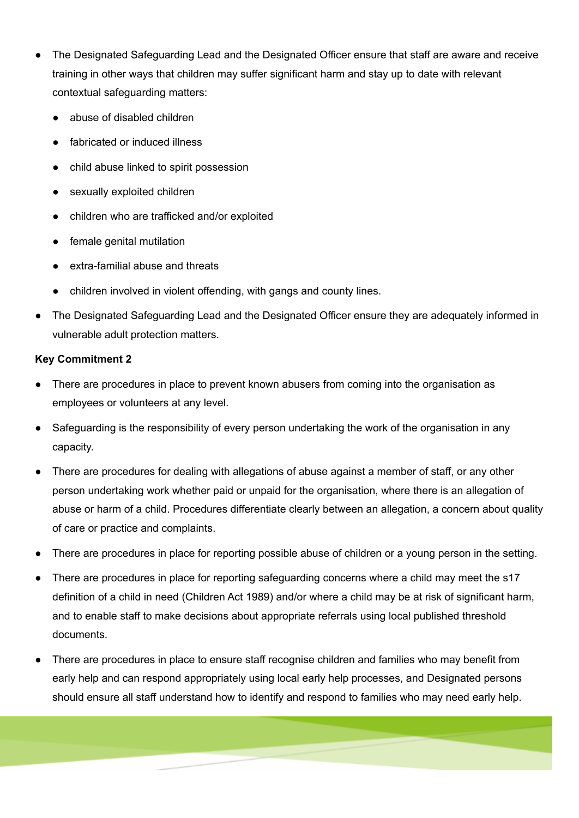- The Designated Safeguarding Lead and the Designated Officer ensure that staff are aware and receive training in other ways that children may suffer significant harm and stay up to date with relevant contextual safeguarding matters:
	- abuse of disabled children
	- fabricated or induced illness
	- **●** child abuse linked to spirit possession
	- sexually exploited children
	- **●** children who are trafficked and/or exploited
	- female genital mutilation
	- extra-familial abuse and threats
	- children involved in violent offending, with gangs and county lines.
- The Designated Safeguarding Lead and the Designated Officer ensure they are adequately informed in vulnerable adult protection matters.

### **Key Commitment 2**

- There are procedures in place to prevent known abusers from coming into the organisation as employees or volunteers at any level.
- **●** Safeguarding is the responsibility of every person undertaking the work of the organisation in any capacity.
- There are procedures for dealing with allegations of abuse against a member of staff, or any other person undertaking work whether paid or unpaid for the organisation, where there is an allegation of abuse or harm of a child. Procedures differentiate clearly between an allegation, a concern about quality of care or practice and complaints.
- There are procedures in place for reporting possible abuse of children or a young person in the setting.
- There are procedures in place for reporting safeguarding concerns where a child may meet the s17 definition of a child in need (Children Act 1989) and/or where a child may be at risk of significant harm, and to enable staff to make decisions about appropriate referrals using local published threshold documents.
- There are procedures in place to ensure staff recognise children and families who may benefit from early help and can respond appropriately using local early help processes, and Designated persons should ensure all staff understand how to identify and respond to families who may need early help.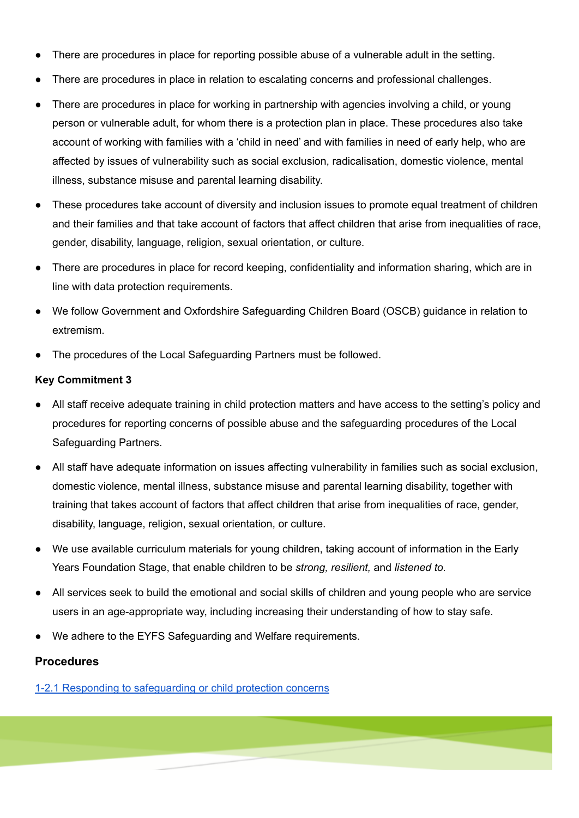- There are procedures in place for reporting possible abuse of a vulnerable adult in the setting.
- There are procedures in place in relation to escalating concerns and professional challenges.
- There are procedures in place for working in partnership with agencies involving a child, or young person or vulnerable adult, for whom there is a protection plan in place. These procedures also take account of working with families with a 'child in need' and with families in need of early help, who are affected by issues of vulnerability such as social exclusion, radicalisation, domestic violence, mental illness, substance misuse and parental learning disability.
- These procedures take account of diversity and inclusion issues to promote equal treatment of children and their families and that take account of factors that affect children that arise from inequalities of race, gender, disability, language, religion, sexual orientation, or culture.
- There are procedures in place for record keeping, confidentiality and information sharing, which are in line with data protection requirements.
- We follow Government and Oxfordshire Safeguarding Children Board (OSCB) guidance in relation to extremism.
- The procedures of the Local Safeguarding Partners must be followed.

#### **Key Commitment 3**

- All staff receive adequate training in child protection matters and have access to the setting's policy and procedures for reporting concerns of possible abuse and the safeguarding procedures of the Local Safeguarding Partners.
- All staff have adequate information on issues affecting vulnerability in families such as social exclusion, domestic violence, mental illness, substance misuse and parental learning disability, together with training that takes account of factors that affect children that arise from inequalities of race, gender, disability, language, religion, sexual orientation, or culture.
- We use available curriculum materials for young children, taking account of information in the Early Years Foundation Stage, that enable children to be *strong, resilient,* and *listened to.*
- *●* All services seek to build the emotional and social skills of children and young people who are service users in an age-appropriate way, including increasing their understanding of how to stay safe.
- We adhere to the EYFS Safeguarding and Welfare requirements.

#### **Procedures**

1-2.1 Responding to [safeguarding](https://docs.google.com/document/d/1X1XcE6_CKEuU6Jyg9yuXweT0_86UIOI3/edit?usp=sharing&ouid=113467944254663834453&rtpof=true&sd=true) or child protection concerns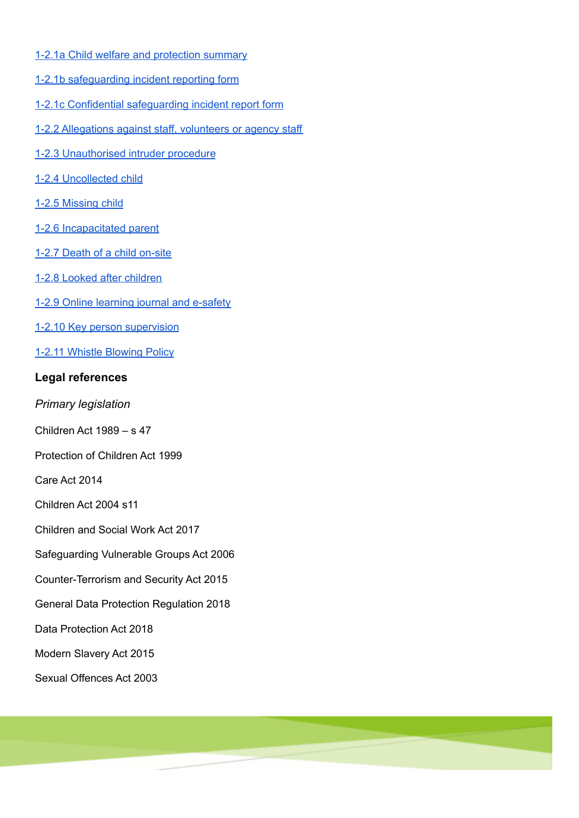- 1-2.1a Child welfare and [protection](https://docs.google.com/document/d/18xiMg6-vnXtL3qMjainbpX1oqtM4w86i/edit?usp=sharing&ouid=113467944254663834453&rtpof=true&sd=true) summary
- 1-2.1b [safeguarding](https://docs.google.com/document/d/1fT-qQMuknrADQap7HOSk_6SFOaa3EDCB/edit?usp=sharing&ouid=113467944254663834453&rtpof=true&sd=true) incident reporting form
- 1-2.1c Confidential [safeguarding](https://docs.google.com/document/d/1Lu-Oa0E7r95Ods79KHqYUVK8x1TQt2gq/edit?usp=sharing&ouid=113467944254663834453&rtpof=true&sd=true) incident report form
- 1-2.2 [Allegations](https://docs.google.com/document/d/1R3CTWlkog8raytDu2gz9xCtrouAbbq0F/edit?usp=sharing&ouid=113467944254663834453&rtpof=true&sd=true) against staff, volunteers or agency staff
- 1-2.3 [Unauthorised](https://docs.google.com/document/d/17p1kaWVfc60Uxes9cbPILGhF3s5sNyWI_0xXzahXcUQ/edit?usp=sharing) intruder procedure
- 1-2.4 [Uncollected](https://docs.google.com/document/d/1tNoEQRnleZoI_Ls9kV2s26PGBe4MphYh/edit?usp=sharing&ouid=113467944254663834453&rtpof=true&sd=true) child
- 1-2.5 [Missing](https://docs.google.com/document/d/10xLfSC_x95H-mV0imkJsuxYIqjIUlwJm/edit?usp=sharing&ouid=113467944254663834453&rtpof=true&sd=true) child
- 1-2.6 [Incapacitated](https://docs.google.com/document/d/1_8-xFFmPKDUDYT0pDRuU_UFFwZZ1c_iz/edit?usp=sharing&ouid=113467944254663834453&rtpof=true&sd=true) parent
- 1-2.7 Death of a child [on-site](https://docs.google.com/document/d/17r6d1oEgpPX2ekkSPB_UDox_kbtoWrB5/edit?usp=sharing&ouid=113467944254663834453&rtpof=true&sd=true)
- 1-2.8 Looked after [children](https://docs.google.com/document/d/1DeleEeaUa3Zwhat_Tz6nirzSIRrLB4vZ/edit?usp=sharing&ouid=113467944254663834453&rtpof=true&sd=true)
- 1-2.9 Online [learning](https://docs.google.com/document/d/12rRyH2CUb52KziCxrQHrTDptkFLN3Ifn/edit?usp=sharing&ouid=113467944254663834453&rtpof=true&sd=true) journal and e-safety
- 1-2.10 Key person [supervision](https://docs.google.com/document/d/11qxbqjnDZp71ZyBxJbO_m0kZPAZnDUZ5/edit?usp=sharing&ouid=113467944254663834453&rtpof=true&sd=true)
- 1-2.11 Whistle [Blowing](https://docs.google.com/document/d/1cYBgDELYFmwlJ82OokEhA-9ZrnRf6CK7/edit?usp=sharing&ouid=113467944254663834453&rtpof=true&sd=true) Policy

# **Legal references**

- *Primary legislation*
- Children Act 1989 s 47
- Protection of Children Act 1999
- Care Act 2014
- Children Act 2004 s11
- Children and Social Work Act 2017
- Safeguarding Vulnerable Groups Act 2006
- Counter-Terrorism and Security Act 2015
- General Data Protection Regulation 2018
- Data Protection Act 2018
- Modern Slavery Act 2015
- Sexual Offences Act 2003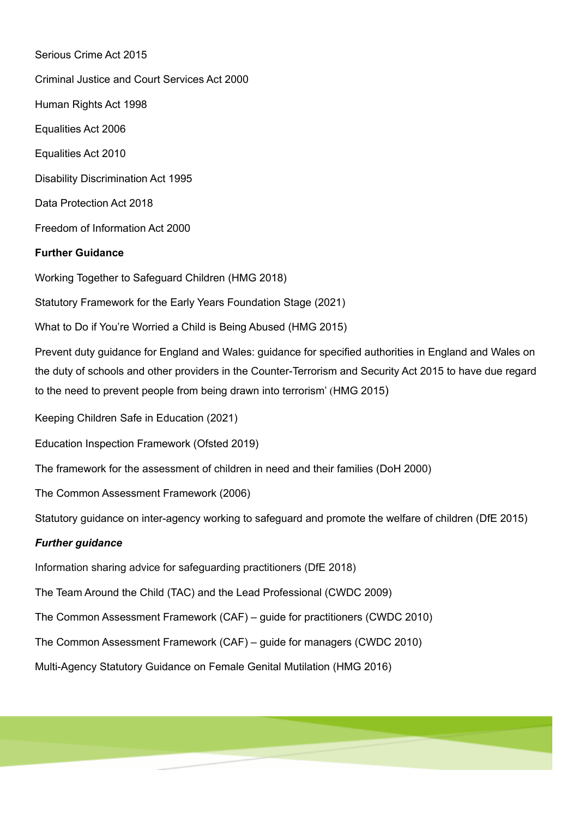Serious Crime Act 2015 Criminal Justice and Court Services Act 2000 Human Rights Act 1998 Equalities Act 2006 Equalities Act 2010 Disability Discrimination Act 1995 Data Protection Act 2018 Freedom of Information Act 2000 **Further Guidance** Working Together to Safeguard Children (HMG 2018) Statutory Framework for the Early Years Foundation Stage (2021) What to Do if You're Worried a Child is Being Abused (HMG 2015) Prevent duty guidance for England and Wales: guidance for specified authorities in England and Wales on the duty of schools and other providers in the Counter-Terrorism and Security Act 2015 to have due regard to the need to prevent people from being drawn into terrorism' (HMG 2015) Keeping Children Safe in Education (2021) Education Inspection Framework (Ofsted 2019) The framework for the assessment of children in need and their families (DoH 2000) The Common Assessment Framework (2006) Statutory guidance on inter-agency working to safeguard and promote the welfare of children (DfE 2015) *Further guidance* Information sharing advice for safeguarding practitioners (DfE 2018) The Team Around the Child (TAC) and the Lead Professional (CWDC 2009) The Common Assessment Framework (CAF) – guide for practitioners (CWDC 2010) The Common Assessment Framework (CAF) – guide for managers (CWDC 2010) Multi-Agency Statutory Guidance on Female Genital Mutilation (HMG 2016)